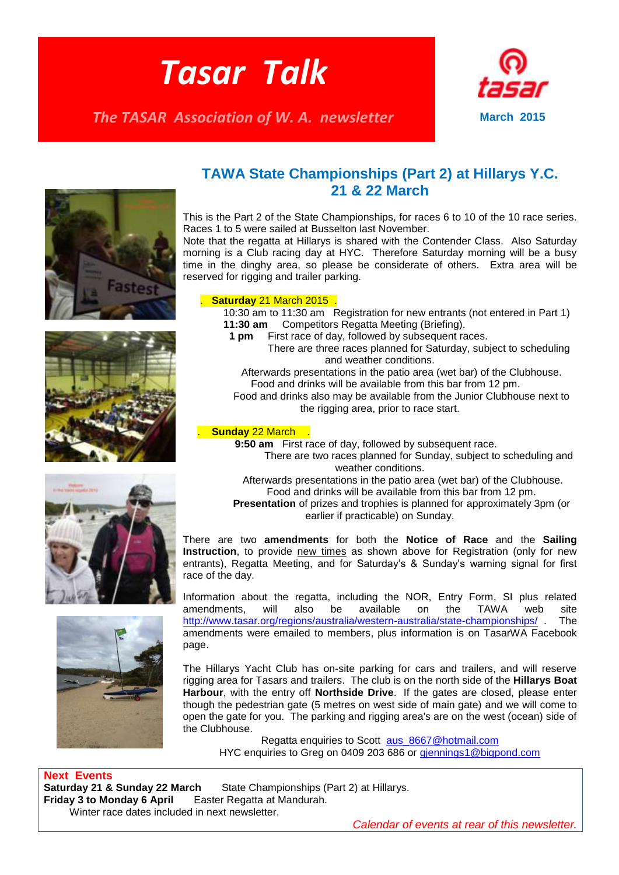# *Tasar Talk*

*The TASAR Association of W. A. newsletter* **March 2015** 











#### **TAWA State Championships (Part 2) at Hillarys Y.C. 21 & 22 March**

This is the Part 2 of the State Championships, for races 6 to 10 of the 10 race series. Races 1 to 5 were sailed at Busselton last November.

Note that the regatta at Hillarys is shared with the Contender Class. Also Saturday morning is a Club racing day at HYC. Therefore Saturday morning will be a busy time in the dinghy area, so please be considerate of others. Extra area will be reserved for rigging and trailer parking.

#### . **Saturday** 21 March 2015 .

 10:30 am to 11:30 am Registration for new entrants (not entered in Part 1) **11:30 am** Competitors Regatta Meeting (Briefing).

- **1 pm** First race of day, followed by subsequent races.
	- There are three races planned for Saturday, subject to scheduling and weather conditions.

 Afterwards presentations in the patio area (wet bar) of the Clubhouse. Food and drinks will be available from this bar from 12 pm.

 Food and drinks also may be available from the Junior Clubhouse next to the rigging area, prior to race start.

#### . **Sunday** 22 March .

**9:50 am** First race of day, followed by subsequent race.

 There are two races planned for Sunday, subject to scheduling and weather conditions.

 Afterwards presentations in the patio area (wet bar) of the Clubhouse. Food and drinks will be available from this bar from 12 pm.

 **Presentation** of prizes and trophies is planned for approximately 3pm (or earlier if practicable) on Sunday.

There are two **amendments** for both the **Notice of Race** and the **Sailing Instruction**, to provide new times as shown above for Registration (only for new entrants), Regatta Meeting, and for Saturday's & Sunday's warning signal for first race of the day.

Information about the regatta, including the NOR, Entry Form, SI plus related amendments, will also be available on the TAWA web site <http://www.tasar.org/regions/australia/western-australia/state-championships/> . The amendments were emailed to members, plus information is on TasarWA Facebook page.

The Hillarys Yacht Club has on-site parking for cars and trailers, and will reserve rigging area for Tasars and trailers. The club is on the north side of the **Hillarys Boat Harbour**, with the entry off **Northside Drive**. If the gates are closed, please enter though the pedestrian gate (5 metres on west side of main gate) and we will come to open the gate for you. The parking and rigging area's are on the west (ocean) side of the Clubhouse.

Regatta enquiries to Scott aus 8667@hotmail.com HYC enquiries to Greg on 0409 203 686 or giennings1@bigpond.com

**Next Events Saturday 21 & Sunday 22 March State Championships (Part 2) at Hillarys. Friday 3 to Monday 6 April** Easter Regatta at Mandurah. Winter race dates included in next newsletter.

*Calendar of events at rear of this newsletter.*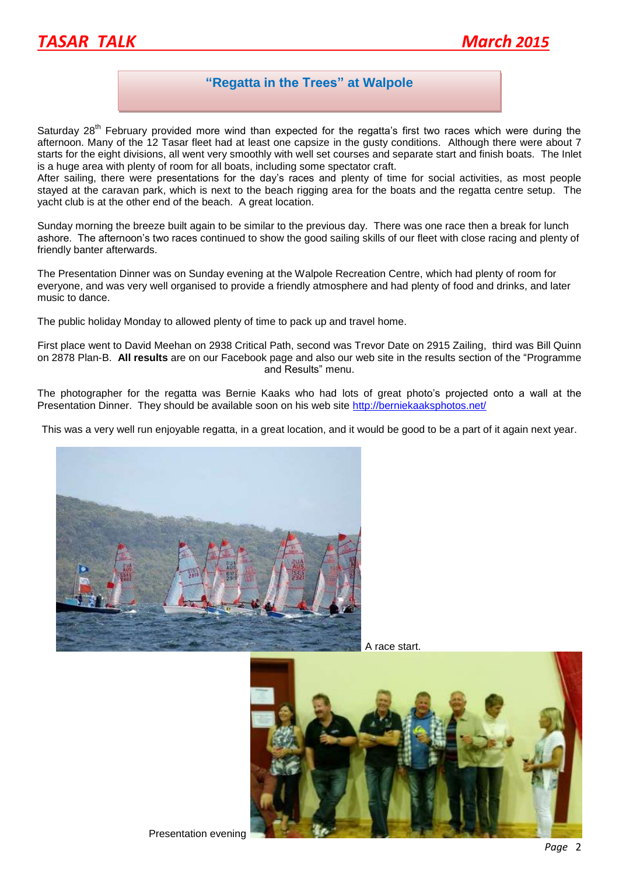

#### **"Regatta in the Trees" at Walpole**

Saturday 28<sup>th</sup> February provided more wind than expected for the regatta's first two races which were during the afternoon. Many of the 12 Tasar fleet had at least one capsize in the gusty conditions. Although there were about 7 starts for the eight divisions, all went very smoothly with well set courses and separate start and finish boats. The Inlet is a huge area with plenty of room for all boats, including some spectator craft.

After sailing, there were presentations for the day's races and plenty of time for social activities, as most people stayed at the caravan park, which is next to the beach rigging area for the boats and the regatta centre setup. The yacht club is at the other end of the beach. A great location.

Sunday morning the breeze built again to be similar to the previous day. There was one race then a break for lunch ashore. The afternoon's two races continued to show the good sailing skills of our fleet with close racing and plenty of friendly banter afterwards.

The Presentation Dinner was on Sunday evening at the Walpole Recreation Centre, which had plenty of room for everyone, and was very well organised to provide a friendly atmosphere and had plenty of food and drinks, and later music to dance.

The public holiday Monday to allowed plenty of time to pack up and travel home.

First place went to David Meehan on 2938 Critical Path, second was Trevor Date on 2915 Zailing, third was Bill Quinn on 2878 Plan-B. **All results** are on our Facebook page and also our web site in the results section of the "Programme and Results" menu.

The photographer for the regatta was Bernie Kaaks who had lots of great photo's projected onto a wall at the Presentation Dinner. They should be available soon on his web site http://berniekaaksphotos.net/

This was a very well run enjoyable regatta, in a great location, and it would be good to be a part of it again next year.



A race start.

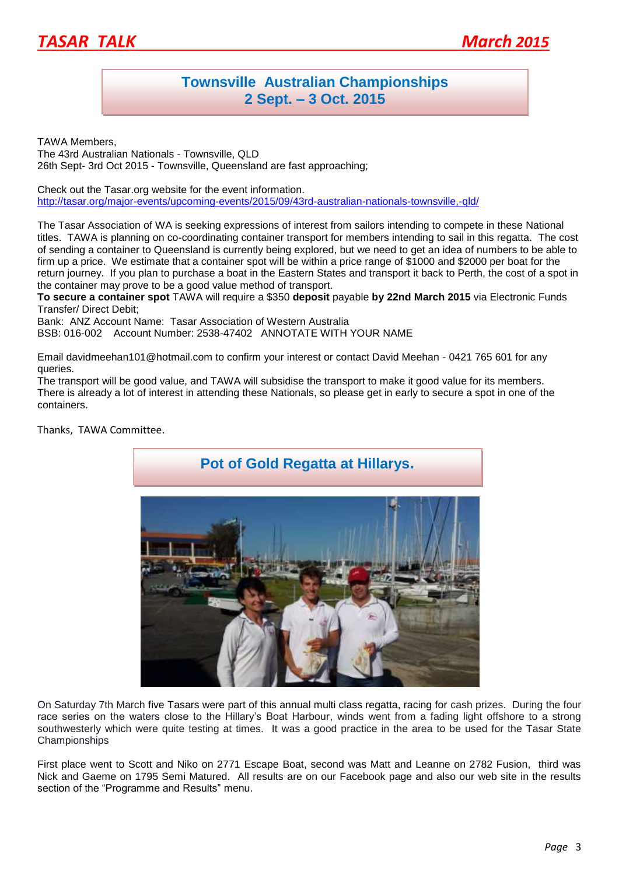

### **Townsville Australian Championships 2 Sept. – 3 Oct. 2015**

TAWA Members,

The 43rd Australian Nationals - Townsville, QLD 26th Sept- 3rd Oct 2015 - Townsville, Queensland are fast approaching;

Check out the Tasar.org website for the event information. <http://tasar.org/major-events/upcoming-events/2015/09/43rd-australian-nationals-townsville,-qld/>

The Tasar Association of WA is seeking expressions of interest from sailors intending to compete in these National titles. TAWA is planning on co-coordinating container transport for members intending to sail in this regatta. The cost of sending a container to Queensland is currently being explored, but we need to get an idea of numbers to be able to firm up a price. We estimate that a container spot will be within a price range of \$1000 and \$2000 per boat for the return journey. If you plan to purchase a boat in the Eastern States and transport it back to Perth, the cost of a spot in the container may prove to be a good value method of transport.

**To secure a container spot** TAWA will require a \$350 **deposit** payable **by 22nd March 2015** via Electronic Funds Transfer/ Direct Debit;

Bank: ANZ Account Name: Tasar Association of Western Australia BSB: 016-002 Account Number: 2538-47402 ANNOTATE WITH YOUR NAME

Email davidmeehan101@hotmail.com to confirm your interest or contact David Meehan - 0421 765 601 for any queries.

The transport will be good value, and TAWA will subsidise the transport to make it good value for its members. There is already a lot of interest in attending these Nationals, so please get in early to secure a spot in one of the containers.

Thanks, TAWA Committee.



On Saturday 7th March five Tasars were part of this annual multi class regatta, racing for cash prizes. During the four race series on the waters close to the Hillary's Boat Harbour, winds went from a fading light offshore to a strong southwesterly which were quite testing at times. It was a good practice in the area to be used for the Tasar State Championships

First place went to Scott and Niko on 2771 Escape Boat, second was Matt and Leanne on 2782 Fusion, third was Nick and Gaeme on 1795 Semi Matured. All results are on our Facebook page and also our web site in the results section of the "Programme and Results" menu.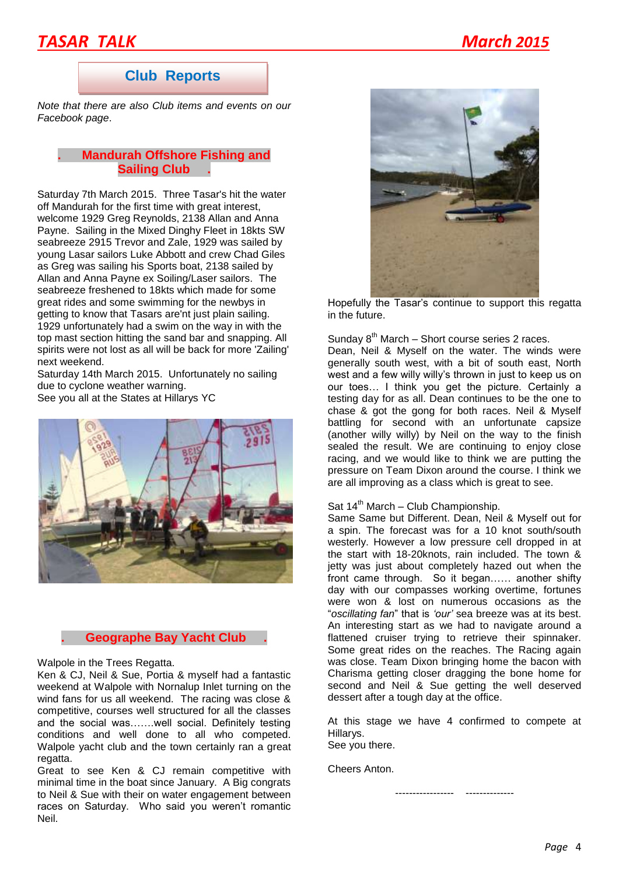### *TASAR TALK March 2015*

#### **Club Reports**

*Note that there are also Club items and events on our Facebook page*.

#### **. Mandurah Offshore Fishing and Sailing Club .**

Saturday 7th March 2015. Three Tasar's hit the water off Mandurah for the first time with great interest, welcome 1929 Greg Reynolds, 2138 Allan and Anna Payne. Sailing in the Mixed Dinghy Fleet in 18kts SW seabreeze 2915 Trevor and Zale, 1929 was sailed by young Lasar sailors Luke Abbott and crew Chad Giles as Greg was sailing his Sports boat, 2138 sailed by Allan and Anna Payne ex Soiling/Laser sailors. The seabreeze freshened to 18kts which made for some great rides and some swimming for the newbys in getting to know that Tasars are'nt just plain sailing. 1929 unfortunately had a swim on the way in with the top mast section hitting the sand bar and snapping. All spirits were not lost as all will be back for more 'Zailing' next weekend.

Saturday 14th March 2015. Unfortunately no sailing due to cyclone weather warning. See you all at the States at Hillarys YC



#### **. Geographe Bay Yacht Club .**

Walpole in the Trees Regatta.

Ken & CJ, Neil & Sue, Portia & myself had a fantastic weekend at Walpole with Nornalup Inlet turning on the wind fans for us all weekend. The racing was close & competitive, courses well structured for all the classes and the social was…….well social. Definitely testing conditions and well done to all who competed. Walpole yacht club and the town certainly ran a great regatta.

Great to see Ken & CJ remain competitive with minimal time in the boat since January. A Big congrats to Neil & Sue with their on water engagement between races on Saturday. Who said you weren't romantic Neil.



Hopefully the Tasar's continue to support this regatta in the future.

Sunday  $8<sup>th</sup>$  March – Short course series 2 races.

Dean, Neil & Myself on the water. The winds were generally south west, with a bit of south east, North west and a few willy willy's thrown in just to keep us on our toes… I think you get the picture. Certainly a testing day for as all. Dean continues to be the one to chase & got the gong for both races. Neil & Myself battling for second with an unfortunate capsize (another willy willy) by Neil on the way to the finish sealed the result. We are continuing to enjoy close racing, and we would like to think we are putting the pressure on Team Dixon around the course. I think we are all improving as a class which is great to see.

#### Sat  $14<sup>th</sup>$  March – Club Championship.

Same Same but Different. Dean, Neil & Myself out for a spin. The forecast was for a 10 knot south/south westerly. However a low pressure cell dropped in at the start with 18-20knots, rain included. The town & jetty was just about completely hazed out when the front came through. So it began…… another shifty day with our compasses working overtime, fortunes were won & lost on numerous occasions as the "*oscillating fan*" that is *'our'* sea breeze was at its best. An interesting start as we had to navigate around a flattened cruiser trying to retrieve their spinnaker. Some great rides on the reaches. The Racing again was close. Team Dixon bringing home the bacon with Charisma getting closer dragging the bone home for second and Neil & Sue getting the well deserved dessert after a tough day at the office.

At this stage we have 4 confirmed to compete at Hillarys. See you there.

Cheers Anton.

----------------- --------------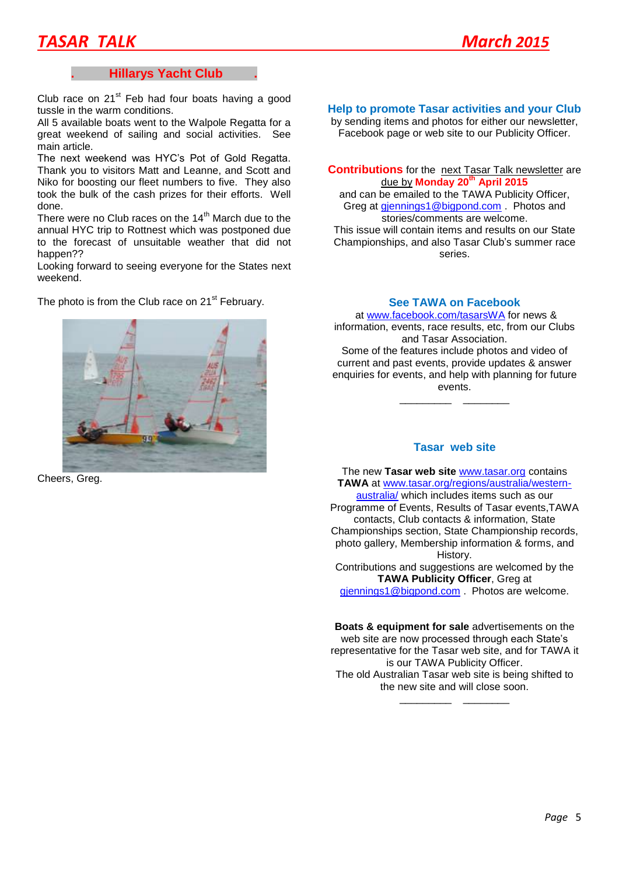## *TASAR TALK March 2015*

#### **. Hillarys Yacht Club .**

Club race on  $21<sup>st</sup>$  Feb had four boats having a good tussle in the warm conditions.

All 5 available boats went to the Walpole Regatta for a great weekend of sailing and social activities. See main article.

The next weekend was HYC's Pot of Gold Regatta. Thank you to visitors Matt and Leanne, and Scott and Niko for boosting our fleet numbers to five. They also took the bulk of the cash prizes for their efforts. Well done.

There were no Club races on the 14<sup>th</sup> March due to the annual HYC trip to Rottnest which was postponed due to the forecast of unsuitable weather that did not happen??

Looking forward to seeing everyone for the States next weekend.

The photo is from the Club race on  $21<sup>st</sup>$  February.



Cheers, Greg.

#### **Help to promote Tasar activities and your Club**

by sending items and photos for either our newsletter, Facebook page or web site to our Publicity Officer.

**Contributions** for the next Tasar Talk newsletter are due by **Monday 20th April 2015**

and can be emailed to the TAWA Publicity Officer, Greg at [gjennings1@bigpond.com](mailto:gjennings1@bigpond.com) . Photos and stories/comments are welcome. This issue will contain items and results on our State Championships, and also Tasar Club's summer race series.

#### **See TAWA on Facebook**

at [www.facebook.com/tasarsWA](http://www.facebook.com/tasarsWA) for news & information, events, race results, etc, from our Clubs and Tasar Association. Some of the features include photos and video of current and past events, provide updates & answer

enquiries for events, and help with planning for future events.

\_\_\_\_\_\_\_\_\_ \_\_\_\_\_\_\_\_

#### **Tasar web site**

The new **Tasar web site** [www.tasar.org](http://www.tasar.org/) contains **TAWA** at [www.tasar.org/regions/australia/western](http://www.tasar.org/regions/australia/western-australia/)[australia/](http://www.tasar.org/regions/australia/western-australia/) which includes items such as our Programme of Events, Results of Tasar events,TAWA contacts, Club contacts & information, State Championships section, State Championship records, photo gallery, Membership information & forms, and History. Contributions and suggestions are welcomed by the **TAWA Publicity Officer**, Greg at

[gjennings1@bigpond.com](mailto:gjennings1@bigpond.com) . Photos are welcome.

**Boats & equipment for sale** advertisements on the web site are now processed through each State's representative for the Tasar web site, and for TAWA it is our TAWA Publicity Officer. The old Australian Tasar web site is being shifted to the new site and will close soon.

\_\_\_\_\_\_\_\_\_ \_\_\_\_\_\_\_\_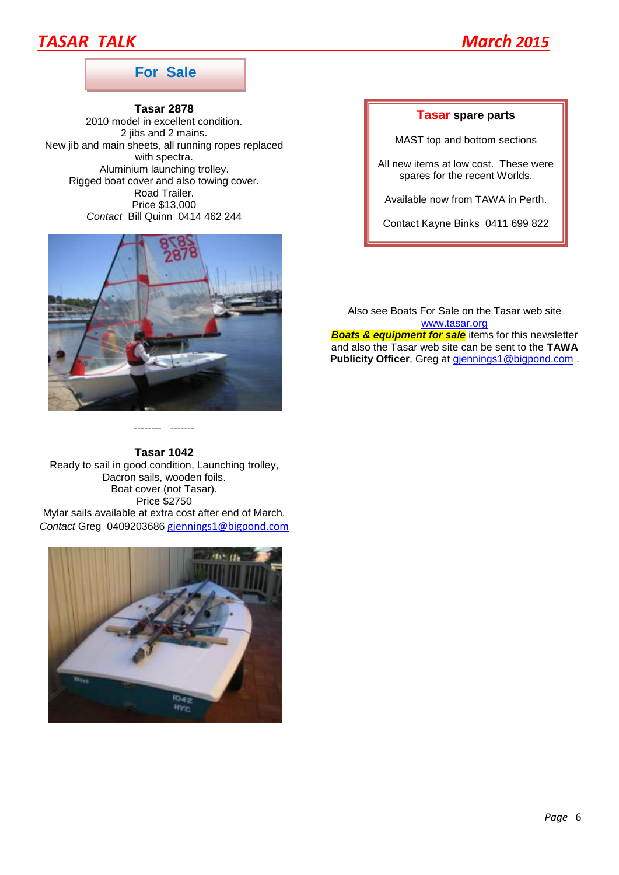### **TASAR TALK** March<sub>2015</sub>



#### **For Sale**

**Tasar 2878** 2010 model in excellent condition. 2 jibs and 2 mains. New jib and main sheets, all running ropes replaced with spectra. Aluminium launching trolley. Rigged boat cover and also towing cover. Road Trailer. Price \$13,000 *Contact* Bill Quinn 0414 462 244



#### -------- -------

**Tasar 1042**

Ready to sail in good condition, Launching trolley, Dacron sails, wooden foils. Boat cover (not Tasar). Price \$2750 Mylar sails available at extra cost after end of March. *Contact* Greg 0409203686 [gjennings1@bigpond.com](mailto:gjennings1@bigpond.com)



#### **Tasar spare parts**

MAST top and bottom sections

All new items at low cost. These were spares for the recent Worlds.

Available now from TAWA in Perth.

Contact Kayne Binks 0411 699 822

Also see Boats For Sale on the Tasar web site [www.tasar.org](http://www.tasar.org/) **Boats & equipment for sale** items for this newsletter and also the Tasar web site can be sent to the **TAWA Publicity Officer**, Greg at *diennings1@bigpond.com.*